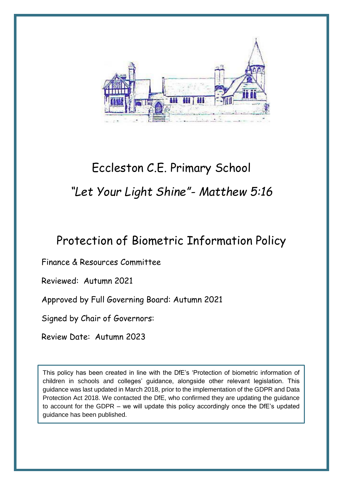

# Eccleston C.E. Primary School *"Let Your Light Shine"- Matthew 5:16*

# Protection of Biometric Information Policy

Finance & Resources Committee

Reviewed: Autumn 2021

Approved by Full Governing Board: Autumn 2021

Signed by Chair of Governors:

Review Date: Autumn 2023

This policy has been created in line with the DfE's 'Protection of biometric information of children in schools and colleges' guidance, alongside other relevant legislation. This guidance was last updated in March 2018, prior to the implementation of the GDPR and Data Protection Act 2018. We contacted the DfE, who confirmed they are updating the guidance to account for the GDPR – we will update this policy accordingly once the DfE's updated guidance has been published.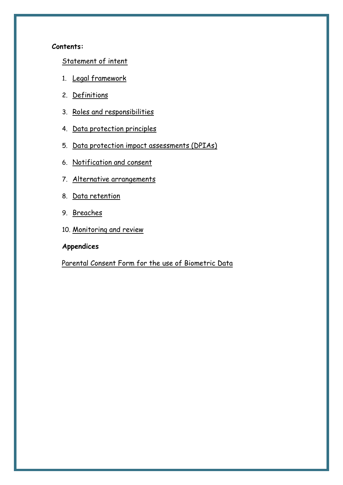#### **Contents:**

[Statement of intent](#page-2-0)

- 1. [Legal framework](#page-2-1)
- 2. [Definitions](#page-2-2)
- 3. [Roles and responsibilities](#page-3-0)
- 4. [Data protection principles](#page-4-0)
- 5. [Data protection impact assessments \(DPIAs\)](#page-4-1)
- 6. [Notification and consent](#page-5-0)
- 7. [Alternative arrangements](#page-8-0)
- 8. [Data retention](#page-8-1)
- 9. [Breaches](#page-8-2)
- 10. [Monitoring and review](#page-9-0)

# **Appendices**

[Parental Consent Form for the use of Biometric Data](#page-10-0)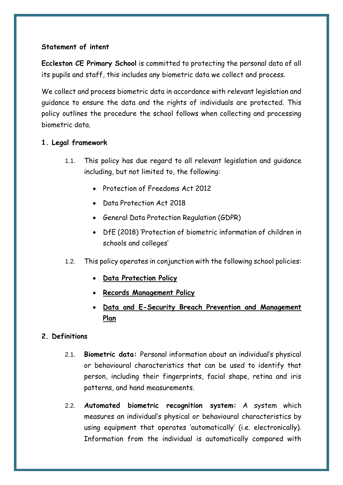# <span id="page-2-0"></span>**Statement of intent**

**Eccleston CE Primary School** is committed to protecting the personal data of all its pupils and staff, this includes any biometric data we collect and process.

We collect and process biometric data in accordance with relevant legislation and guidance to ensure the data and the rights of individuals are protected. This policy outlines the procedure the school follows when collecting and processing biometric data.

# <span id="page-2-1"></span>**1. Legal framework**

- 1.1. This policy has due regard to all relevant legislation and guidance including, but not limited to, the following:
	- Protection of Freedoms Act 2012
	- Data Protection Act 2018
	- General Data Protection Regulation (GDPR)
	- DfE (2018) 'Protection of biometric information of children in schools and colleges'
- 1.2. This policy operates in conjunction with the following school policies:
	- **Data Protection Policy**
	- **Records Management Policy**
	- **Data and E-Security Breach Prevention and Management Plan**

#### <span id="page-2-2"></span>**2. Definitions**

- 2.1. **Biometric data:** Personal information about an individual's physical or behavioural characteristics that can be used to identify that person, including their fingerprints, facial shape, retina and iris patterns, and hand measurements.
- 2.2. **Automated biometric recognition system:** A system which measures an individual's physical or behavioural characteristics by using equipment that operates 'automatically' (i.e. electronically). Information from the individual is automatically compared with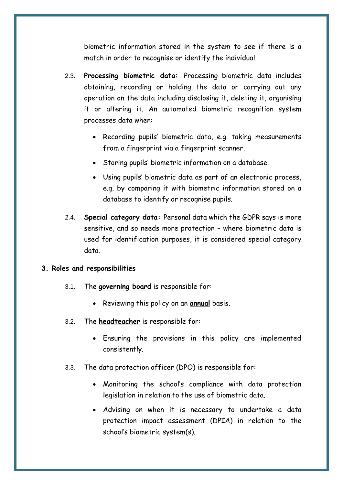biometric information stored in the system to see if there is a match in order to recognise or identify the individual.

- 2.3. **Processing biometric data:** Processing biometric data includes obtaining, recording or holding the data or carrying out any operation on the data including disclosing it, deleting it, organising it or altering it. An automated biometric recognition system processes data when:
	- Recording pupils' biometric data, e.g. taking measurements from a fingerprint via a fingerprint scanner.
	- Storing pupils' biometric information on a database.
	- Using pupils' biometric data as part of an electronic process, e.g. by comparing it with biometric information stored on a database to identify or recognise pupils.
- 2.4. **Special category data:** Personal data which the GDPR says is more sensitive, and so needs more protection – where biometric data is used for identification purposes, it is considered special category data.

#### <span id="page-3-0"></span>**3. Roles and responsibilities**

- 3.1. The **governing board** is responsible for:
	- Reviewing this policy on an **annual** basis.
- 3.2. The **headteacher** is responsible for:
	- Ensuring the provisions in this policy are implemented consistently.
- 3.3. The data protection officer (DPO) is responsible for:
	- Monitoring the school's compliance with data protection legislation in relation to the use of biometric data.
	- Advising on when it is necessary to undertake a data protection impact assessment (DPIA) in relation to the school's biometric system(s).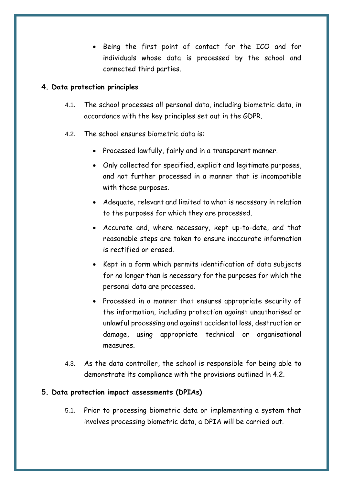• Being the first point of contact for the ICO and for individuals whose data is processed by the school and connected third parties.

#### <span id="page-4-0"></span>**4. Data protection principles**

- 4.1. The school processes all personal data, including biometric data, in accordance with the key principles set out in the GDPR.
- 4.2. The school ensures biometric data is:
	- Processed lawfully, fairly and in a transparent manner.
	- Only collected for specified, explicit and legitimate purposes, and not further processed in a manner that is incompatible with those purposes.
	- Adequate, relevant and limited to what is necessary in relation to the purposes for which they are processed.
	- Accurate and, where necessary, kept up-to-date, and that reasonable steps are taken to ensure inaccurate information is rectified or erased.
	- Kept in a form which permits identification of data subjects for no longer than is necessary for the purposes for which the personal data are processed.
	- Processed in a manner that ensures appropriate security of the information, including protection against unauthorised or unlawful processing and against accidental loss, destruction or damage, using appropriate technical or organisational measures.
- 4.3. As the data controller, the school is responsible for being able to demonstrate its compliance with the provisions outlined in 4.2.

#### <span id="page-4-1"></span>**5. Data protection impact assessments (DPIAs)**

5.1. Prior to processing biometric data or implementing a system that involves processing biometric data, a DPIA will be carried out.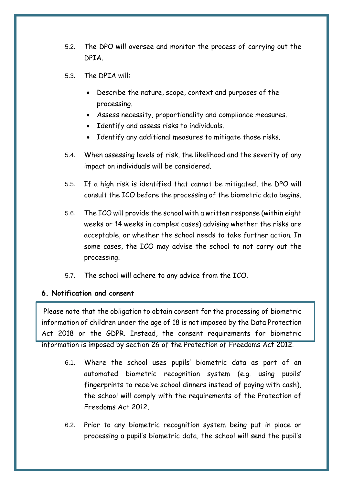- <span id="page-5-0"></span>5.2. The DPO will oversee and monitor the process of carrying out the DPIA.
- 5.3. The DPIA will:
	- Describe the nature, scope, context and purposes of the processing.
	- Assess necessity, proportionality and compliance measures.
	- Identify and assess risks to individuals.
	- Identify any additional measures to mitigate those risks.
- 5.4. When assessing levels of risk, the likelihood and the severity of any impact on individuals will be considered.
- 5.5. If a high risk is identified that cannot be mitigated, the DPO will consult the ICO before the processing of the biometric data begins.
- 5.6. The ICO will provide the school with a written response (within eight weeks or 14 weeks in complex cases) advising whether the risks are acceptable, or whether the school needs to take further action. In some cases, the ICO may advise the school to not carry out the processing.
- 5.7. The school will adhere to any advice from the ICO.

#### **6. Notification and consent**

Please note that the obligation to obtain consent for the processing of biometric information of children under the age of 18 is not imposed by the Data Protection Act 2018 or the GDPR. Instead, the consent requirements for biometric information is imposed by section 26 of the Protection of Freedoms Act 2012.

- 6.1. Where the school uses pupils' biometric data as part of an automated biometric recognition system (e.g. using pupils' fingerprints to receive school dinners instead of paying with cash), the school will comply with the requirements of the Protection of Freedoms Act 2012.
- 6.2. Prior to any biometric recognition system being put in place or processing a pupil's biometric data, the school will send the pupil's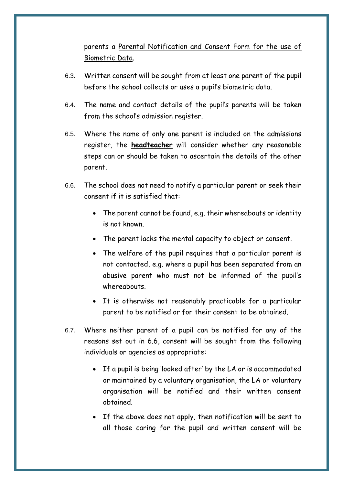parents a [Parental Notification and Consent Form for the use of](#page-10-0)  [Biometric Data.](#page-10-0)

- 6.3. Written consent will be sought from at least one parent of the pupil before the school collects or uses a pupil's biometric data.
- 6.4. The name and contact details of the pupil's parents will be taken from the school's admission register.
- 6.5. Where the name of only one parent is included on the admissions register, the **headteacher** will consider whether any reasonable steps can or should be taken to ascertain the details of the other parent.
- 6.6. The school does not need to notify a particular parent or seek their consent if it is satisfied that:
	- The parent cannot be found, e.g. their whereabouts or identity is not known.
	- The parent lacks the mental capacity to object or consent.
	- The welfare of the pupil requires that a particular parent is not contacted, e.g. where a pupil has been separated from an abusive parent who must not be informed of the pupil's whereabouts.
	- It is otherwise not reasonably practicable for a particular parent to be notified or for their consent to be obtained.
- 6.7. Where neither parent of a pupil can be notified for any of the reasons set out in 6.6, consent will be sought from the following individuals or agencies as appropriate:
	- If a pupil is being 'looked after' by the LA or is accommodated or maintained by a voluntary organisation, the LA or voluntary organisation will be notified and their written consent obtained.
	- If the above does not apply, then notification will be sent to all those caring for the pupil and written consent will be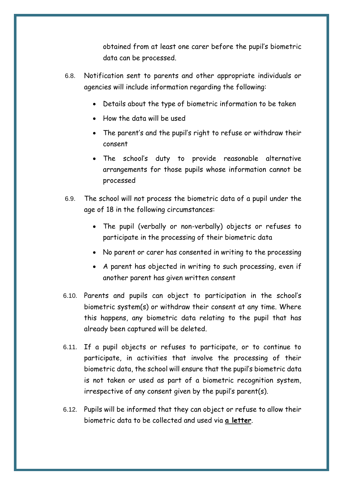obtained from at least one carer before the pupil's biometric data can be processed.

- 6.8. Notification sent to parents and other appropriate individuals or agencies will include information regarding the following:
	- Details about the type of biometric information to be taken
	- How the data will be used
	- The parent's and the pupil's right to refuse or withdraw their consent
	- The school's duty to provide reasonable alternative arrangements for those pupils whose information cannot be processed
- 6.9. The school will not process the biometric data of a pupil under the age of 18 in the following circumstances:
	- The pupil (verbally or non-verbally) objects or refuses to participate in the processing of their biometric data
	- No parent or carer has consented in writing to the processing
	- A parent has objected in writing to such processing, even if another parent has given written consent
- 6.10. Parents and pupils can object to participation in the school's biometric system(s) or withdraw their consent at any time. Where this happens, any biometric data relating to the pupil that has already been captured will be deleted.
- 6.11. If a pupil objects or refuses to participate, or to continue to participate, in activities that involve the processing of their biometric data, the school will ensure that the pupil's biometric data is not taken or used as part of a biometric recognition system, irrespective of any consent given by the pupil's parent(s).
- 6.12. Pupils will be informed that they can object or refuse to allow their biometric data to be collected and used via **a letter**.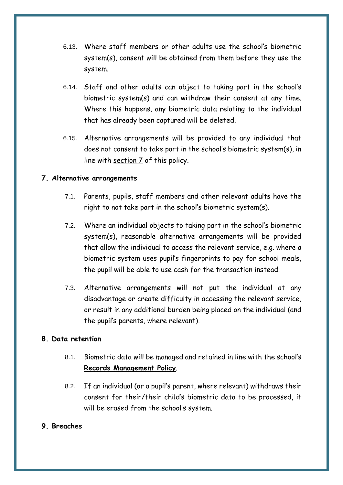- 6.13. Where staff members or other adults use the school's biometric system(s), consent will be obtained from them before they use the system.
- 6.14. Staff and other adults can object to taking part in the school's biometric system(s) and can withdraw their consent at any time. Where this happens, any biometric data relating to the individual that has already been captured will be deleted.
- 6.15. Alternative arrangements will be provided to any individual that does not consent to take part in the school's biometric system(s), in line with [section 7](#page-8-0) of this policy.

#### <span id="page-8-0"></span>**7. Alternative arrangements**

- 7.1. Parents, pupils, staff members and other relevant adults have the right to not take part in the school's biometric system(s).
- 7.2. Where an individual objects to taking part in the school's biometric system(s), reasonable alternative arrangements will be provided that allow the individual to access the relevant service, e.g. where a biometric system uses pupil's fingerprints to pay for school meals, the pupil will be able to use cash for the transaction instead.
- 7.3. Alternative arrangements will not put the individual at any disadvantage or create difficulty in accessing the relevant service, or result in any additional burden being placed on the individual (and the pupil's parents, where relevant).

#### <span id="page-8-1"></span>**8. Data retention**

- 8.1. Biometric data will be managed and retained in line with the school's **Records Management Policy**.
- 8.2. If an individual (or a pupil's parent, where relevant) withdraws their consent for their/their child's biometric data to be processed, it will be erased from the school's system.

#### <span id="page-8-2"></span>**9. Breaches**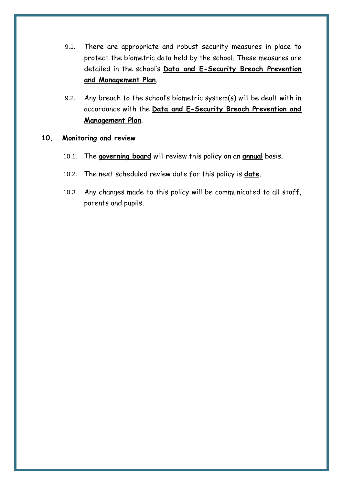- 9.1. There are appropriate and robust security measures in place to protect the biometric data held by the school. These measures are detailed in the school's **Data and E-Security Breach Prevention and Management Plan**.
- 9.2. Any breach to the school's biometric system(s) will be dealt with in accordance with the **Data and E-Security Breach Prevention and Management Plan**.

#### <span id="page-9-0"></span>**10. Monitoring and review**

- 10.1. The **governing board** will review this policy on an **annual** basis.
- 10.2. The next scheduled review date for this policy is **date**.
- 10.3. Any changes made to this policy will be communicated to all staff, parents and pupils.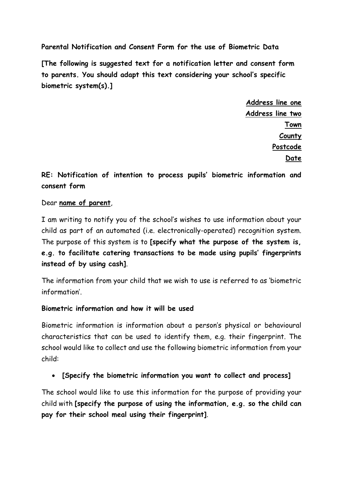<span id="page-10-0"></span>**Parental Notification and Consent Form for the use of Biometric Data**

**[The following is suggested text for a notification letter and consent form to parents. You should adapt this text considering your school's specific biometric system(s).]** 

> **Address line one Address line two Town County Postcode Date**

**RE: Notification of intention to process pupils' biometric information and consent form** 

# Dear **name of parent**,

I am writing to notify you of the school's wishes to use information about your child as part of an automated (i.e. electronically-operated) recognition system. The purpose of this system is to **[specify what the purpose of the system is, e.g. to facilitate catering transactions to be made using pupils' fingerprints instead of by using cash]**.

The information from your child that we wish to use is referred to as 'biometric information'.

#### **Biometric information and how it will be used**

Biometric information is information about a person's physical or behavioural characteristics that can be used to identify them, e.g. their fingerprint. The school would like to collect and use the following biometric information from your child:

**[Specify the biometric information you want to collect and process]** 

The school would like to use this information for the purpose of providing your child with **[specify the purpose of using the information, e.g. so the child can pay for their school meal using their fingerprint]**.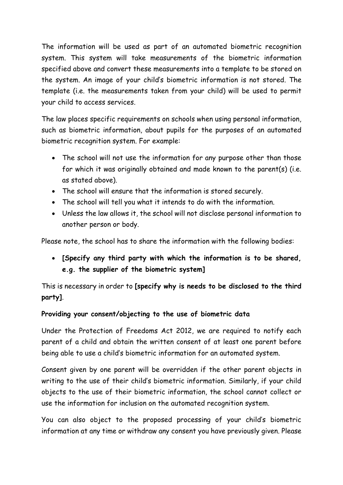The information will be used as part of an automated biometric recognition system. This system will take measurements of the biometric information specified above and convert these measurements into a template to be stored on the system. An image of your child's biometric information is not stored. The template (i.e. the measurements taken from your child) will be used to permit your child to access services.

The law places specific requirements on schools when using personal information, such as biometric information, about pupils for the purposes of an automated biometric recognition system. For example:

- The school will not use the information for any purpose other than those for which it was originally obtained and made known to the parent(s) (i.e. as stated above).
- The school will ensure that the information is stored securely.
- The school will tell you what it intends to do with the information.
- Unless the law allows it, the school will not disclose personal information to another person or body.

Please note, the school has to share the information with the following bodies:

 **[Specify any third party with which the information is to be shared, e.g. the supplier of the biometric system]**

This is necessary in order to **[specify why is needs to be disclosed to the third party]**.

# **Providing your consent/objecting to the use of biometric data**

Under the Protection of Freedoms Act 2012, we are required to notify each parent of a child and obtain the written consent of at least one parent before being able to use a child's biometric information for an automated system.

Consent given by one parent will be overridden if the other parent objects in writing to the use of their child's biometric information. Similarly, if your child objects to the use of their biometric information, the school cannot collect or use the information for inclusion on the automated recognition system.

You can also object to the proposed processing of your child's biometric information at any time or withdraw any consent you have previously given. Please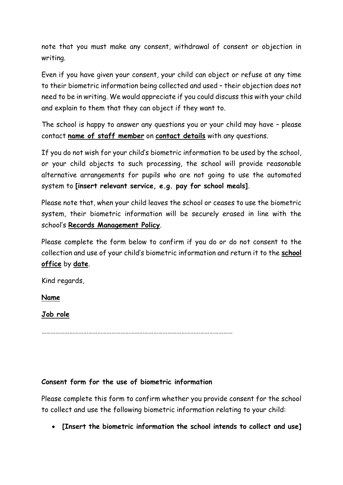note that you must make any consent, withdrawal of consent or objection in writing.

Even if you have given your consent, your child can object or refuse at any time to their biometric information being collected and used – their objection does not need to be in writing. We would appreciate if you could discuss this with your child and explain to them that they can object if they want to.

The school is happy to answer any questions you or your child may have – please contact **name of staff member** on **contact details** with any questions.

If you do not wish for your child's biometric information to be used by the school, or your child objects to such processing, the school will provide reasonable alternative arrangements for pupils who are not going to use the automated system to **[insert relevant service, e.g. pay for school meals]**.

Please note that, when your child leaves the school or ceases to use the biometric system, their biometric information will be securely erased in line with the school's **Records Management Policy**.

Please complete the form below to confirm if you do or do not consent to the collection and use of your child's biometric information and return it to the **school office** by **date**.

Kind regards,

**Name** 

# **Job role**

……………………………………………………………………………………………………………

# **Consent form for the use of biometric information**

Please complete this form to confirm whether you provide consent for the school to collect and use the following biometric information relating to your child:

**[Insert the biometric information the school intends to collect and use]**